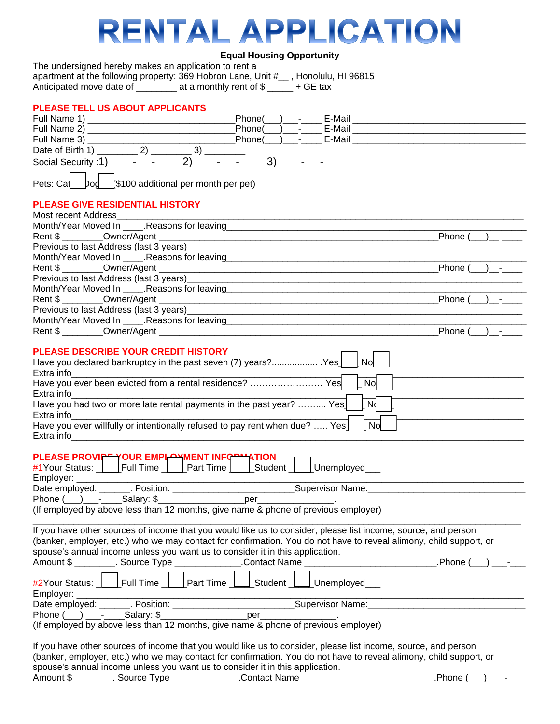# RENTAL APPLICATION

## **Equal Housing Opportunity**

| The undersigned hereby makes an application to rent a        |                         |                      |
|--------------------------------------------------------------|-------------------------|----------------------|
| apartment at the following property: 369 Hobron Lane, Unit # |                         | . Honolulu. HI 96815 |
| Anticipated move date of                                     | at a monthly rent of \$ | + GE tax             |

## **PLEASE TELL US ABOUT APPLICANTS**

| Phone(<br>Phone(<br>E-Mail<br>Social Security :1) ____ - ___ - ____ 2) ___ - _<br>3)<br>\$100 additional per month per pet)<br>Pets: Cal<br>Dod<br>Month/Year Moved In _____. Reasons for leaving___________________________________<br>Phone (<br>Previous to last Address (last 3 years) Manual Communication of the Communication of the Communication of the Communication of the Communication of the Communication of the Communication of the Communication of the Communi<br>Phone (<br>Phone (<br>Phone $( )$ -<br>PLEASE DESCRIBE YOUR CREDIT HISTORY<br>Have you declared bankruptcy in the past seven (7) years? Yes<br><b>No</b><br>Have you ever been evicted from a rental residence?  Yes<br>No<br>Extra info<br>N <sub>d</sub><br>Have you had two or more late rental payments in the past year?  Yes  <br>Extra info<br>Have you ever willfully or intentionally refused to pay rent when due?  Yes [ No<br>PLEASE PROVIPT YOUR EMPLAYMENT INFORMATION<br>#1Your Status: Full Time Part Time Student Dunemployed<br>Employer: ________________<br>Phone $(\_\_\_\_\_$ - Salary: \$<br>(If employed by above less than 12 months, give name & phone of previous employer)<br>If you have other sources of income that you would like us to consider, please list income, source, and person<br>(banker, employer, etc.) who we may contact for confirmation. You do not have to reveal alimony, child support, or<br>spouse's annual income unless you want us to consider it in this application.<br><b>Example 2018</b> Phone (<br>Amount \$ __________. Source Type ________________.Contact Name<br>_Full Time _ <u>____</u> Part Time _ <b>____</b> Student _ <b>L</b><br>Unemployed<br>#2Your Status:<br>Employer: _______<br><u> 2000 - Jan James James James James James James James James James James James James James James James James Ja</u><br>If you have other sources of income that you would like us to consider, please list income, source, and person<br>(banker, employer, etc.) who we may contact for confirmation. You do not have to reveal alimony, child support, or<br>spouse's annual income unless you want us to consider it in this application.<br>.Phone ( |                                        | Phone( | E-Mail |  |
|------------------------------------------------------------------------------------------------------------------------------------------------------------------------------------------------------------------------------------------------------------------------------------------------------------------------------------------------------------------------------------------------------------------------------------------------------------------------------------------------------------------------------------------------------------------------------------------------------------------------------------------------------------------------------------------------------------------------------------------------------------------------------------------------------------------------------------------------------------------------------------------------------------------------------------------------------------------------------------------------------------------------------------------------------------------------------------------------------------------------------------------------------------------------------------------------------------------------------------------------------------------------------------------------------------------------------------------------------------------------------------------------------------------------------------------------------------------------------------------------------------------------------------------------------------------------------------------------------------------------------------------------------------------------------------------------------------------------------------------------------------------------------------------------------------------------------------------------------------------------------------------------------------------------------------------------------------------------------------------------------------------------------------------------------------------------------------------------------------------------------------------------------------------------------------------------------------------|----------------------------------------|--------|--------|--|
|                                                                                                                                                                                                                                                                                                                                                                                                                                                                                                                                                                                                                                                                                                                                                                                                                                                                                                                                                                                                                                                                                                                                                                                                                                                                                                                                                                                                                                                                                                                                                                                                                                                                                                                                                                                                                                                                                                                                                                                                                                                                                                                                                                                                                  |                                        |        |        |  |
|                                                                                                                                                                                                                                                                                                                                                                                                                                                                                                                                                                                                                                                                                                                                                                                                                                                                                                                                                                                                                                                                                                                                                                                                                                                                                                                                                                                                                                                                                                                                                                                                                                                                                                                                                                                                                                                                                                                                                                                                                                                                                                                                                                                                                  |                                        |        |        |  |
|                                                                                                                                                                                                                                                                                                                                                                                                                                                                                                                                                                                                                                                                                                                                                                                                                                                                                                                                                                                                                                                                                                                                                                                                                                                                                                                                                                                                                                                                                                                                                                                                                                                                                                                                                                                                                                                                                                                                                                                                                                                                                                                                                                                                                  |                                        |        |        |  |
|                                                                                                                                                                                                                                                                                                                                                                                                                                                                                                                                                                                                                                                                                                                                                                                                                                                                                                                                                                                                                                                                                                                                                                                                                                                                                                                                                                                                                                                                                                                                                                                                                                                                                                                                                                                                                                                                                                                                                                                                                                                                                                                                                                                                                  |                                        |        |        |  |
|                                                                                                                                                                                                                                                                                                                                                                                                                                                                                                                                                                                                                                                                                                                                                                                                                                                                                                                                                                                                                                                                                                                                                                                                                                                                                                                                                                                                                                                                                                                                                                                                                                                                                                                                                                                                                                                                                                                                                                                                                                                                                                                                                                                                                  |                                        |        |        |  |
|                                                                                                                                                                                                                                                                                                                                                                                                                                                                                                                                                                                                                                                                                                                                                                                                                                                                                                                                                                                                                                                                                                                                                                                                                                                                                                                                                                                                                                                                                                                                                                                                                                                                                                                                                                                                                                                                                                                                                                                                                                                                                                                                                                                                                  | <b>PLEASE GIVE RESIDENTIAL HISTORY</b> |        |        |  |
|                                                                                                                                                                                                                                                                                                                                                                                                                                                                                                                                                                                                                                                                                                                                                                                                                                                                                                                                                                                                                                                                                                                                                                                                                                                                                                                                                                                                                                                                                                                                                                                                                                                                                                                                                                                                                                                                                                                                                                                                                                                                                                                                                                                                                  | Most recent Address North Americans    |        |        |  |
|                                                                                                                                                                                                                                                                                                                                                                                                                                                                                                                                                                                                                                                                                                                                                                                                                                                                                                                                                                                                                                                                                                                                                                                                                                                                                                                                                                                                                                                                                                                                                                                                                                                                                                                                                                                                                                                                                                                                                                                                                                                                                                                                                                                                                  |                                        |        |        |  |
|                                                                                                                                                                                                                                                                                                                                                                                                                                                                                                                                                                                                                                                                                                                                                                                                                                                                                                                                                                                                                                                                                                                                                                                                                                                                                                                                                                                                                                                                                                                                                                                                                                                                                                                                                                                                                                                                                                                                                                                                                                                                                                                                                                                                                  |                                        |        |        |  |
|                                                                                                                                                                                                                                                                                                                                                                                                                                                                                                                                                                                                                                                                                                                                                                                                                                                                                                                                                                                                                                                                                                                                                                                                                                                                                                                                                                                                                                                                                                                                                                                                                                                                                                                                                                                                                                                                                                                                                                                                                                                                                                                                                                                                                  |                                        |        |        |  |
|                                                                                                                                                                                                                                                                                                                                                                                                                                                                                                                                                                                                                                                                                                                                                                                                                                                                                                                                                                                                                                                                                                                                                                                                                                                                                                                                                                                                                                                                                                                                                                                                                                                                                                                                                                                                                                                                                                                                                                                                                                                                                                                                                                                                                  |                                        |        |        |  |
|                                                                                                                                                                                                                                                                                                                                                                                                                                                                                                                                                                                                                                                                                                                                                                                                                                                                                                                                                                                                                                                                                                                                                                                                                                                                                                                                                                                                                                                                                                                                                                                                                                                                                                                                                                                                                                                                                                                                                                                                                                                                                                                                                                                                                  |                                        |        |        |  |
|                                                                                                                                                                                                                                                                                                                                                                                                                                                                                                                                                                                                                                                                                                                                                                                                                                                                                                                                                                                                                                                                                                                                                                                                                                                                                                                                                                                                                                                                                                                                                                                                                                                                                                                                                                                                                                                                                                                                                                                                                                                                                                                                                                                                                  |                                        |        |        |  |
|                                                                                                                                                                                                                                                                                                                                                                                                                                                                                                                                                                                                                                                                                                                                                                                                                                                                                                                                                                                                                                                                                                                                                                                                                                                                                                                                                                                                                                                                                                                                                                                                                                                                                                                                                                                                                                                                                                                                                                                                                                                                                                                                                                                                                  |                                        |        |        |  |
|                                                                                                                                                                                                                                                                                                                                                                                                                                                                                                                                                                                                                                                                                                                                                                                                                                                                                                                                                                                                                                                                                                                                                                                                                                                                                                                                                                                                                                                                                                                                                                                                                                                                                                                                                                                                                                                                                                                                                                                                                                                                                                                                                                                                                  |                                        |        |        |  |
|                                                                                                                                                                                                                                                                                                                                                                                                                                                                                                                                                                                                                                                                                                                                                                                                                                                                                                                                                                                                                                                                                                                                                                                                                                                                                                                                                                                                                                                                                                                                                                                                                                                                                                                                                                                                                                                                                                                                                                                                                                                                                                                                                                                                                  |                                        |        |        |  |
|                                                                                                                                                                                                                                                                                                                                                                                                                                                                                                                                                                                                                                                                                                                                                                                                                                                                                                                                                                                                                                                                                                                                                                                                                                                                                                                                                                                                                                                                                                                                                                                                                                                                                                                                                                                                                                                                                                                                                                                                                                                                                                                                                                                                                  |                                        |        |        |  |
|                                                                                                                                                                                                                                                                                                                                                                                                                                                                                                                                                                                                                                                                                                                                                                                                                                                                                                                                                                                                                                                                                                                                                                                                                                                                                                                                                                                                                                                                                                                                                                                                                                                                                                                                                                                                                                                                                                                                                                                                                                                                                                                                                                                                                  |                                        |        |        |  |
|                                                                                                                                                                                                                                                                                                                                                                                                                                                                                                                                                                                                                                                                                                                                                                                                                                                                                                                                                                                                                                                                                                                                                                                                                                                                                                                                                                                                                                                                                                                                                                                                                                                                                                                                                                                                                                                                                                                                                                                                                                                                                                                                                                                                                  |                                        |        |        |  |
|                                                                                                                                                                                                                                                                                                                                                                                                                                                                                                                                                                                                                                                                                                                                                                                                                                                                                                                                                                                                                                                                                                                                                                                                                                                                                                                                                                                                                                                                                                                                                                                                                                                                                                                                                                                                                                                                                                                                                                                                                                                                                                                                                                                                                  |                                        |        |        |  |
|                                                                                                                                                                                                                                                                                                                                                                                                                                                                                                                                                                                                                                                                                                                                                                                                                                                                                                                                                                                                                                                                                                                                                                                                                                                                                                                                                                                                                                                                                                                                                                                                                                                                                                                                                                                                                                                                                                                                                                                                                                                                                                                                                                                                                  |                                        |        |        |  |
|                                                                                                                                                                                                                                                                                                                                                                                                                                                                                                                                                                                                                                                                                                                                                                                                                                                                                                                                                                                                                                                                                                                                                                                                                                                                                                                                                                                                                                                                                                                                                                                                                                                                                                                                                                                                                                                                                                                                                                                                                                                                                                                                                                                                                  |                                        |        |        |  |
|                                                                                                                                                                                                                                                                                                                                                                                                                                                                                                                                                                                                                                                                                                                                                                                                                                                                                                                                                                                                                                                                                                                                                                                                                                                                                                                                                                                                                                                                                                                                                                                                                                                                                                                                                                                                                                                                                                                                                                                                                                                                                                                                                                                                                  |                                        |        |        |  |
|                                                                                                                                                                                                                                                                                                                                                                                                                                                                                                                                                                                                                                                                                                                                                                                                                                                                                                                                                                                                                                                                                                                                                                                                                                                                                                                                                                                                                                                                                                                                                                                                                                                                                                                                                                                                                                                                                                                                                                                                                                                                                                                                                                                                                  |                                        |        |        |  |
|                                                                                                                                                                                                                                                                                                                                                                                                                                                                                                                                                                                                                                                                                                                                                                                                                                                                                                                                                                                                                                                                                                                                                                                                                                                                                                                                                                                                                                                                                                                                                                                                                                                                                                                                                                                                                                                                                                                                                                                                                                                                                                                                                                                                                  |                                        |        |        |  |
|                                                                                                                                                                                                                                                                                                                                                                                                                                                                                                                                                                                                                                                                                                                                                                                                                                                                                                                                                                                                                                                                                                                                                                                                                                                                                                                                                                                                                                                                                                                                                                                                                                                                                                                                                                                                                                                                                                                                                                                                                                                                                                                                                                                                                  |                                        |        |        |  |
|                                                                                                                                                                                                                                                                                                                                                                                                                                                                                                                                                                                                                                                                                                                                                                                                                                                                                                                                                                                                                                                                                                                                                                                                                                                                                                                                                                                                                                                                                                                                                                                                                                                                                                                                                                                                                                                                                                                                                                                                                                                                                                                                                                                                                  |                                        |        |        |  |
|                                                                                                                                                                                                                                                                                                                                                                                                                                                                                                                                                                                                                                                                                                                                                                                                                                                                                                                                                                                                                                                                                                                                                                                                                                                                                                                                                                                                                                                                                                                                                                                                                                                                                                                                                                                                                                                                                                                                                                                                                                                                                                                                                                                                                  |                                        |        |        |  |
|                                                                                                                                                                                                                                                                                                                                                                                                                                                                                                                                                                                                                                                                                                                                                                                                                                                                                                                                                                                                                                                                                                                                                                                                                                                                                                                                                                                                                                                                                                                                                                                                                                                                                                                                                                                                                                                                                                                                                                                                                                                                                                                                                                                                                  |                                        |        |        |  |
|                                                                                                                                                                                                                                                                                                                                                                                                                                                                                                                                                                                                                                                                                                                                                                                                                                                                                                                                                                                                                                                                                                                                                                                                                                                                                                                                                                                                                                                                                                                                                                                                                                                                                                                                                                                                                                                                                                                                                                                                                                                                                                                                                                                                                  |                                        |        |        |  |
|                                                                                                                                                                                                                                                                                                                                                                                                                                                                                                                                                                                                                                                                                                                                                                                                                                                                                                                                                                                                                                                                                                                                                                                                                                                                                                                                                                                                                                                                                                                                                                                                                                                                                                                                                                                                                                                                                                                                                                                                                                                                                                                                                                                                                  |                                        |        |        |  |
|                                                                                                                                                                                                                                                                                                                                                                                                                                                                                                                                                                                                                                                                                                                                                                                                                                                                                                                                                                                                                                                                                                                                                                                                                                                                                                                                                                                                                                                                                                                                                                                                                                                                                                                                                                                                                                                                                                                                                                                                                                                                                                                                                                                                                  |                                        |        |        |  |
|                                                                                                                                                                                                                                                                                                                                                                                                                                                                                                                                                                                                                                                                                                                                                                                                                                                                                                                                                                                                                                                                                                                                                                                                                                                                                                                                                                                                                                                                                                                                                                                                                                                                                                                                                                                                                                                                                                                                                                                                                                                                                                                                                                                                                  |                                        |        |        |  |
|                                                                                                                                                                                                                                                                                                                                                                                                                                                                                                                                                                                                                                                                                                                                                                                                                                                                                                                                                                                                                                                                                                                                                                                                                                                                                                                                                                                                                                                                                                                                                                                                                                                                                                                                                                                                                                                                                                                                                                                                                                                                                                                                                                                                                  |                                        |        |        |  |
|                                                                                                                                                                                                                                                                                                                                                                                                                                                                                                                                                                                                                                                                                                                                                                                                                                                                                                                                                                                                                                                                                                                                                                                                                                                                                                                                                                                                                                                                                                                                                                                                                                                                                                                                                                                                                                                                                                                                                                                                                                                                                                                                                                                                                  |                                        |        |        |  |
|                                                                                                                                                                                                                                                                                                                                                                                                                                                                                                                                                                                                                                                                                                                                                                                                                                                                                                                                                                                                                                                                                                                                                                                                                                                                                                                                                                                                                                                                                                                                                                                                                                                                                                                                                                                                                                                                                                                                                                                                                                                                                                                                                                                                                  |                                        |        |        |  |
|                                                                                                                                                                                                                                                                                                                                                                                                                                                                                                                                                                                                                                                                                                                                                                                                                                                                                                                                                                                                                                                                                                                                                                                                                                                                                                                                                                                                                                                                                                                                                                                                                                                                                                                                                                                                                                                                                                                                                                                                                                                                                                                                                                                                                  |                                        |        |        |  |
|                                                                                                                                                                                                                                                                                                                                                                                                                                                                                                                                                                                                                                                                                                                                                                                                                                                                                                                                                                                                                                                                                                                                                                                                                                                                                                                                                                                                                                                                                                                                                                                                                                                                                                                                                                                                                                                                                                                                                                                                                                                                                                                                                                                                                  |                                        |        |        |  |
|                                                                                                                                                                                                                                                                                                                                                                                                                                                                                                                                                                                                                                                                                                                                                                                                                                                                                                                                                                                                                                                                                                                                                                                                                                                                                                                                                                                                                                                                                                                                                                                                                                                                                                                                                                                                                                                                                                                                                                                                                                                                                                                                                                                                                  |                                        |        |        |  |
|                                                                                                                                                                                                                                                                                                                                                                                                                                                                                                                                                                                                                                                                                                                                                                                                                                                                                                                                                                                                                                                                                                                                                                                                                                                                                                                                                                                                                                                                                                                                                                                                                                                                                                                                                                                                                                                                                                                                                                                                                                                                                                                                                                                                                  |                                        |        |        |  |
|                                                                                                                                                                                                                                                                                                                                                                                                                                                                                                                                                                                                                                                                                                                                                                                                                                                                                                                                                                                                                                                                                                                                                                                                                                                                                                                                                                                                                                                                                                                                                                                                                                                                                                                                                                                                                                                                                                                                                                                                                                                                                                                                                                                                                  |                                        |        |        |  |
|                                                                                                                                                                                                                                                                                                                                                                                                                                                                                                                                                                                                                                                                                                                                                                                                                                                                                                                                                                                                                                                                                                                                                                                                                                                                                                                                                                                                                                                                                                                                                                                                                                                                                                                                                                                                                                                                                                                                                                                                                                                                                                                                                                                                                  |                                        |        |        |  |
|                                                                                                                                                                                                                                                                                                                                                                                                                                                                                                                                                                                                                                                                                                                                                                                                                                                                                                                                                                                                                                                                                                                                                                                                                                                                                                                                                                                                                                                                                                                                                                                                                                                                                                                                                                                                                                                                                                                                                                                                                                                                                                                                                                                                                  |                                        |        |        |  |
|                                                                                                                                                                                                                                                                                                                                                                                                                                                                                                                                                                                                                                                                                                                                                                                                                                                                                                                                                                                                                                                                                                                                                                                                                                                                                                                                                                                                                                                                                                                                                                                                                                                                                                                                                                                                                                                                                                                                                                                                                                                                                                                                                                                                                  |                                        |        |        |  |
|                                                                                                                                                                                                                                                                                                                                                                                                                                                                                                                                                                                                                                                                                                                                                                                                                                                                                                                                                                                                                                                                                                                                                                                                                                                                                                                                                                                                                                                                                                                                                                                                                                                                                                                                                                                                                                                                                                                                                                                                                                                                                                                                                                                                                  |                                        |        |        |  |
|                                                                                                                                                                                                                                                                                                                                                                                                                                                                                                                                                                                                                                                                                                                                                                                                                                                                                                                                                                                                                                                                                                                                                                                                                                                                                                                                                                                                                                                                                                                                                                                                                                                                                                                                                                                                                                                                                                                                                                                                                                                                                                                                                                                                                  |                                        |        |        |  |
|                                                                                                                                                                                                                                                                                                                                                                                                                                                                                                                                                                                                                                                                                                                                                                                                                                                                                                                                                                                                                                                                                                                                                                                                                                                                                                                                                                                                                                                                                                                                                                                                                                                                                                                                                                                                                                                                                                                                                                                                                                                                                                                                                                                                                  |                                        |        |        |  |
|                                                                                                                                                                                                                                                                                                                                                                                                                                                                                                                                                                                                                                                                                                                                                                                                                                                                                                                                                                                                                                                                                                                                                                                                                                                                                                                                                                                                                                                                                                                                                                                                                                                                                                                                                                                                                                                                                                                                                                                                                                                                                                                                                                                                                  |                                        |        |        |  |